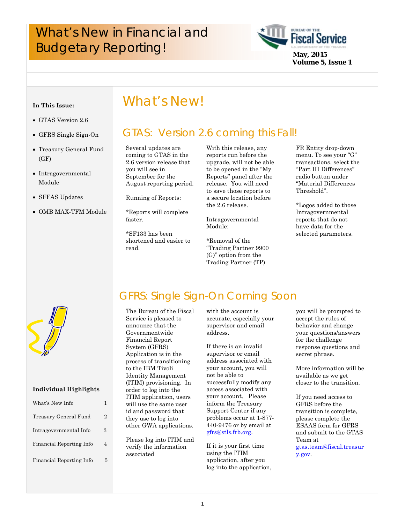# What's New in Financial and **Example 19 And School School Service**<br>Budgetary Reporting!



#### **In This Issue:**

- GTAS Version 2.6
- GFRS Single Sign-On
- Treasury General Fund  $(GF)$
- Intragovernmental Module
- SFFAS Updates
- OMB MAX-TFM Module

# What's New!

# GTAS: Version 2.6 coming this Fall!

 September for the Several updates are coming to GTAS in the 2.6 version release that you will see in August reporting period.

Running of Reports:

\*Reports will complete faster.

\*SF133 has been shortened and easier to read.

With this release, any reports run before the upgrade, will not be able to be opened in the "My Reports" panel after the release. You will need to save those reports to a secure location before the 2.6 release.

Intragovernmental Module:

\*Removal of the "Trading Partner 9900 (G)" option from the Trading Partner (TP)

FR Entity drop-down menu. To see your "G" transactions, select the "Part III Differences" radio button under "Material Differences Threshold".

\*Logos added to those Intragovernmental reports that do not have data for the selected parameters.



#### **Individual Highlights**

| 2 |
|---|
| З |
| Δ |
| 5 |
|   |

# GFRS: Single Sign-On Coming Soon

The Bureau of the Fiscal Service is pleased to announce that the Governmentwide Financial Report System (GFRS) Application is in the process of transitioning to the IBM Tivoli Identity Management (ITIM) provisioning. In order to log into the ITIM application, users will use the same user id and password that they use to log into other GWA applications.

Please log into ITIM and verify the information associated

with the account is accurate, especially your supervisor and email address.

If there is an invalid supervisor or email address associated with your account, you will not be able to successfully modify any access associated with your account. Please inform the Treasury Support Center if any problems occur at 1-877- 440-9476 or by email at gfrs@stls.frb.org.

If it is your first time using the ITIM application, after you log into the application,

you will be prompted to accept the rules of behavior and change your questions/answers for the challenge response questions and secret phrase.

More information will be available as we get closer to the transition.

If you need access to GFRS before the transition is complete, please complete the ESAAS form for GFRS and submit to the GTAS Team at gtas.team@fiscal.treasur y.gov.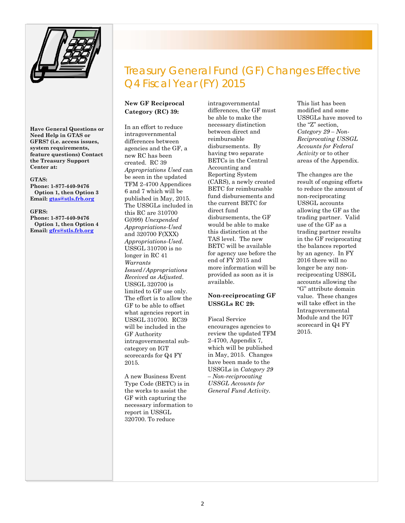

**Have General Questions or Need Help in GTAS or GFRS? (i.e. access issues, system requirements, feature questions) Contact the Treasury Support Center at:** 

#### **GTAS:**

**Phone: 1-877-440-9476 Option 1, then Option 3 Email: gtas@stls.frb.org** 

#### **GFRS:**

**Phone: 1-877-440-9476 Option 1, then Option 4 Email: gfrs@stls.frb.org**

# Treasury General Fund (GF) Changes Effective Q4 Fiscal Year (FY) 2015

#### **New GF Reciprocal Category (RC) 39:**

In an effort to reduce intragovernmental differences between agencies and the GF, a new RC has been created. RC 39 *Appropriations Used* can be seen in the updated TFM 2-4700 Appendices 6 and 7 which will be published in May, 2015. The USSGLs included in this RC are 310700 G(099) *Unexpended Appropriations-Used*  and 320700 F(XXX) *Appropriations-Used*. USSGL 310700 is no longer in RC 41 *Warrants Issued/Appropriations Received as Adjusted*. USSGL 320700 is limited to GF use only. The effort is to allow the GF to be able to offset what agencies report in USSGL 310700. RC39 will be included in the GF Authority intragovernmental subcategory on IGT scorecards for Q4 FY 2015.

A new Business Event Type Code (BETC) is in the works to assist the GF with capturing the necessary information to report in USSGL 320700. To reduce

intragovernmental differences, the GF must be able to make the necessary distinction between direct and reimbursable disbursements. By having two separate BETCs in the Central Accounting and Reporting System (CARS), a newly created BETC for reimbursable fund disbursements and the current BETC for direct fund disbursements, the GF would be able to make this distinction at the TAS level. The new BETC will be available for agency use before the end of FY 2015 and more information will be provided as soon as it is available.

#### **Non-reciprocating GF USSGLs RC 29:**

Fiscal Service encourages agencies to review the updated TFM 2-4700, Appendix 7, which will be published in May, 2015. Changes have been made to the USSGLs in *Category 29 – Non-reciprocating USSGL Accounts for General Fund Activity*.

This list has been modified and some USSGLs have moved to the "Z" section, *Category 29 – Non-Reciprocating USSGL Accounts for Federal Activity* or to other areas of the Appendix.

The changes are the result of ongoing efforts to reduce the amount of non-reciprocating USSGL accounts allowing the GF as the trading partner. Valid use of the GF as a trading partner results in the GF reciprocating the balances reported by an agency. In FY 2016 there will no longer be any nonreciprocating USSGL accounts allowing the "G" attribute domain value. These changes will take effect in the Intragovernmental Module and the IGT scorecard in Q4 FY 2015.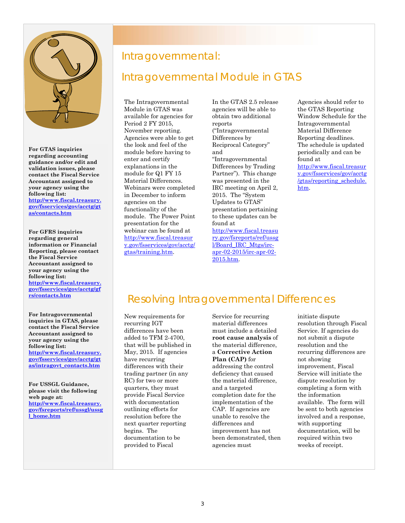

**For GTAS inquiries regarding accounting guidance and/or edit and validation issues, please contact the Fiscal Service Accountant assigned to your agency using the following list: http://www.fiscal.treasury. gov/fsservices/gov/acctg/gt as/contacts.htm**

**For GFRS inquiries regarding general information or Financial Reporting, please contact the Fiscal Service Accountant assigned to your agency using the following list: http://www.fiscal.treasury. gov/fsservices/gov/acctg/gf rs/contacts.htm**

**For Intragovernmental inquiries in GTAS, please contact the Fiscal Service Accountant assigned to your agency using the following list: http://www.fiscal.treasury. gov/fsservices/gov/acctg/gt as/intragovt\_contacts.htm**

**For USSGL Guidance, please visit the following web page at: http://www.fiscal.treasury. gov/fsreports/ref/ussgl/ussg l\_home.htm**

### Intragovernmental:

# Intragovernmental Module in GTAS

The Intragovernmental Module in GTAS was available for agencies for Period 2 FY 2015, November reporting. Agencies were able to get the look and feel of the module before having to enter and certify explanations in the module for Q1 FY 15 Material Differences. Webinars were completed in December to inform agencies on the functionality of the module. The Power Point presentation for the webinar can be found at http://www.fiscal.treasur y.gov/fsservices/gov/acctg/ gtas/training.htm.

In the GTAS 2.5 release agencies will be able to obtain two additional reports ("Intragovernmental Differences by Reciprocal Category" and "Intragovernmental Differences by Trading Partner"). This change was presented in the IRC meeting on April 2, 2015. The "System Updates to GTAS" presentation pertaining to these updates can be found at http://www.fiscal.treasu ry.gov/fsreports/ref/ussg l/Board\_IRC\_Mtgs/irc-

apr-02-2015/irc-apr-02-

Agencies should refer to the GTAS Reporting Window Schedule for the Intragovernmental Material Difference Reporting deadlines. The schedule is updated periodically and can be found at http://www.fiscal.treasur y.gov/fsservices/gov/acctg /gtas/reporting\_schedule. htm.

# Resolving Intragovernmental Differences

2015.htm.

 differences with their New requirements for recurring IGT differences have been added to TFM 2-4700, that will be published in May, 2015. If agencies have recurring trading partner (in any RC) for two or more quarters, they must provide Fiscal Service with documentation outlining efforts for resolution before the next quarter reporting begins. The documentation to be provided to Fiscal

Service for recurring material differences must include a detailed **root cause analysis** of the material difference, a **Corrective Action Plan (CAP)** for addressing the control deficiency that caused the material difference, and a targeted completion date for the implementation of the CAP. If agencies are unable to resolve the differences and improvement has not been demonstrated, then agencies must

initiate dispute resolution through Fiscal Service. If agencies do not submit a dispute resolution and the recurring differences are not showing improvement, Fiscal Service will initiate the dispute resolution by completing a form with the information available. The form will be sent to both agencies involved and a response, with supporting documentation, will be required within two weeks of receipt.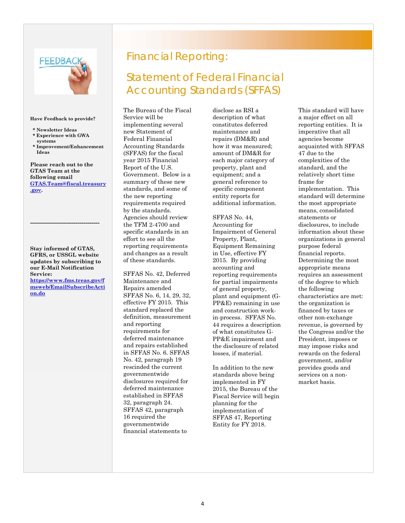

#### **Have Feedback to provide?**

- **\* Newsletter Ideas \* Experience with GWA**
- **systems \* Improvement/Enhancement Ideas**

**Please reach out to the GTAS Team at the following email GTAS.Team@fiscal.treasury .gov.** 

**Stay informed of GTAS, GFRS, or USSGL website updates by subscribing to our E-Mail Notification Service: https://www.fms.treas.gov/f**

**-----------------------------------** 

**msweb/EmailSubscribeActi on.do**

# Financial Reporting:

# Statement of Federal Financial Accounting Standards (SFFAS)

The Bureau of the Fiscal Service will be implementing several new Statement of Federal Financial Accounting Standards (SFFAS) for the fiscal year 2015 Financial Report of the U.S. Government. Below is a summary of these new standards, and some of the new reporting requirements required by the standards. Agencies should review the TFM 2-4700 and specific standards in an effort to see all the reporting requirements and changes as a result of these standards.

 in SFFAS No. 6. SFFAS SFFAS No. 42, Deferred Maintenance and Repairs amended SFFAS No. 6, 14, 29, 32, effective FY 2015. This standard replaced the definition, measurement and reporting requirements for deferred maintenance and repairs established No. 42, paragraph 19 rescinded the current governmentwide disclosures required for deferred maintenance established in SFFAS 32, paragraph 24. SFFAS 42, paragraph 16 required the governmentwide financial statements to

disclose as RSI a description of what constitutes deferred maintenance and repairs (DM&R) and how it was measured; amount of DM&R for each major category of property, plant and equipment; and a general reference to specific component entity reports for additional information.

SFFAS No. 44, Accounting for Impairment of General Property, Plant, Equipment Remaining in Use, effective FY 2015. By providing accounting and reporting requirements for partial impairments of general property, plant and equipment (G-PP&E) remaining in use and construction workin-process. SFFAS No. 44 requires a description of what constitutes G-PP&E impairment and the disclosure of related losses, if material.

In addition to the new standards above being implemented in FY 2015, the Bureau of the Fiscal Service will begin planning for the implementation of SFFAS 47, Reporting Entity for FY 2018.

This standard will have a major effect on all reporting entities. It is imperative that all agencies become acquainted with SFFAS 47 due to the complexities of the standard, and the relatively short time frame for implementation. This standard will determine the most appropriate means, consolidated statements or disclosures, to include information about these organizations in general purpose federal financial reports. Determining the most appropriate means requires an assessment of the degree to which the following characteristics are met: the organization is financed by taxes or other non-exchange revenue, is governed by the Congress and/or the President, imposes or may impose risks and rewards on the federal government, and/or provides goods and services on a nonmarket basis.